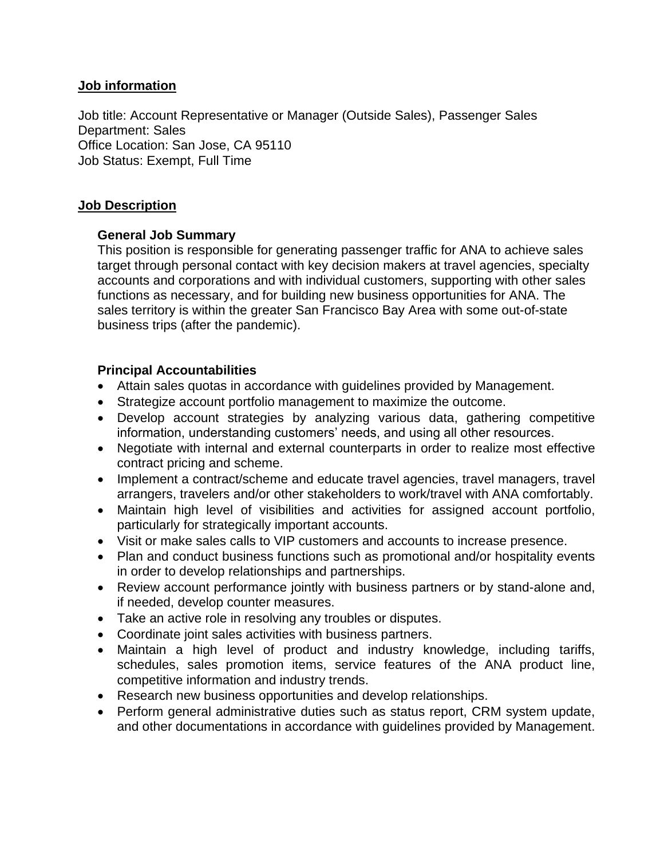#### **Job information**

Job title: Account Representative or Manager (Outside Sales), Passenger Sales Department: Sales Office Location: San Jose, CA 95110 Job Status: Exempt, Full Time

# **Job Description**

# **General Job Summary**

This position is responsible for generating passenger traffic for ANA to achieve sales target through personal contact with key decision makers at travel agencies, specialty accounts and corporations and with individual customers, supporting with other sales functions as necessary, and for building new business opportunities for ANA. The sales territory is within the greater San Francisco Bay Area with some out-of-state business trips (after the pandemic).

# **Principal Accountabilities**

- Attain sales quotas in accordance with guidelines provided by Management.
- Strategize account portfolio management to maximize the outcome.
- Develop account strategies by analyzing various data, gathering competitive information, understanding customers' needs, and using all other resources.
- Negotiate with internal and external counterparts in order to realize most effective contract pricing and scheme.
- Implement a contract/scheme and educate travel agencies, travel managers, travel arrangers, travelers and/or other stakeholders to work/travel with ANA comfortably.
- Maintain high level of visibilities and activities for assigned account portfolio, particularly for strategically important accounts.
- Visit or make sales calls to VIP customers and accounts to increase presence.
- Plan and conduct business functions such as promotional and/or hospitality events in order to develop relationships and partnerships.
- Review account performance jointly with business partners or by stand-alone and, if needed, develop counter measures.
- Take an active role in resolving any troubles or disputes.
- Coordinate joint sales activities with business partners.
- Maintain a high level of product and industry knowledge, including tariffs, schedules, sales promotion items, service features of the ANA product line, competitive information and industry trends.
- Research new business opportunities and develop relationships.
- Perform general administrative duties such as status report, CRM system update, and other documentations in accordance with guidelines provided by Management.